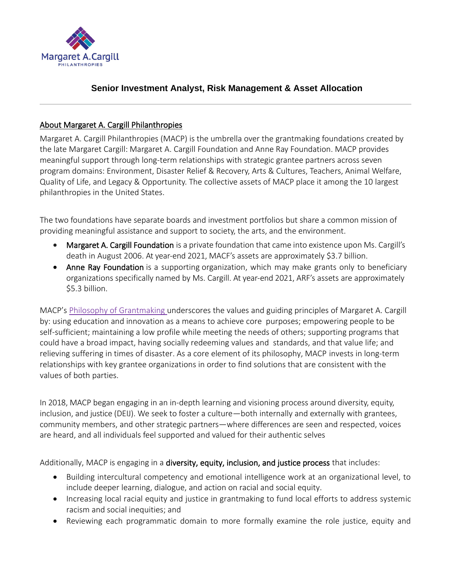

# **Senior Investment Analyst, Risk Management & Asset Allocation**

#### About Margaret A. Cargill Philanthropies

Margaret A. Cargill Philanthropies (MACP) is the umbrella over the grantmaking foundations created by the late Margaret Cargill: Margaret A. Cargill Foundation and Anne Ray Foundation. MACP provides meaningful support through long-term relationships with strategic grantee partners across seven program domains: Environment, Disaster Relief & Recovery, Arts & Cultures, Teachers, Animal Welfare, Quality of Life, and Legacy & Opportunity. The collective assets of MACP place it among the 10 largest philanthropies in the United States.

The two foundations have separate boards and investment portfolios but share a common mission of providing meaningful assistance and support to society, the arts, and the environment.

- Margaret A. Cargill Foundation is a private foundation that came into existence upon Ms. Cargill's death in August 2006. At year-end 2021, MACF's assets are approximately \$3.7 billion.
- Anne Ray Foundation is a supporting organization, which may make grants only to beneficiary organizations specifically named by Ms. Cargill. At year-end 2021, ARF's assets are approximately \$5.3 billion.

MACP's Philosophy of [Grantmaking u](https://www.macphilanthropies.org/about/philosophy-of-grantmaking)nderscores the values and guiding principles of Margaret A. Cargill by: using education and innovation as a means to achieve core purposes; empowering people to be self-sufficient; maintaining a low profile while meeting the needs of others; supporting programs that could have a broad impact, having socially redeeming values and standards, and that value life; and relieving suffering in times of disaster. As a core element of its philosophy, MACP invests in long-term relationships with key grantee organizations in order to find solutions that are consistent with the values of both parties.

In 2018, MACP began engaging in an in-depth learning and visioning process around diversity, equity, inclusion, and justice (DEIJ). We seek to foster a culture—both internally and externally with grantees, community members, and other strategic partners—where differences are seen and respected, voices are heard, and all individuals feel supported and valued for their authentic selves

Additionally, MACP is engaging in a diversity, equity, inclusion, and justice process that includes:

- Building intercultural competency and emotional intelligence work at an organizational level, to include deeper learning, dialogue, and action on racial and social equity.
- Increasing local racial equity and justice in grantmaking to fund local efforts to address systemic racism and social inequities; and
- Reviewing each programmatic domain to more formally examine the role justice, equity and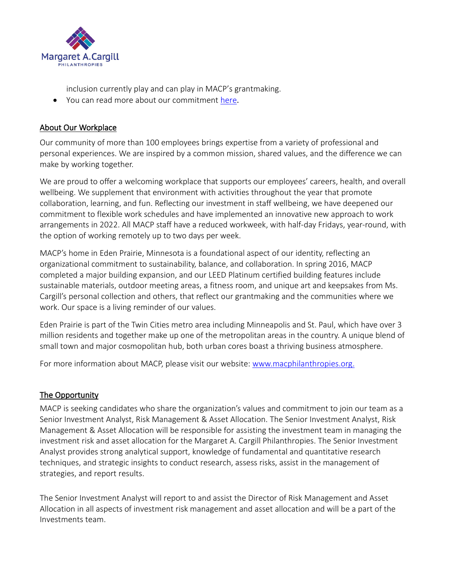

inclusion currently play and can play in MACP's grantmaking.

• You can read more about our commitment [here](https://www.macphilanthropies.org/wp-content/uploads/2022/02/MACP-DEIJ-Vision.pdf).

### About Our Workplace

Our community of more than 100 employees brings expertise from a variety of professional and personal experiences. We are inspired by a common mission, shared values, and the difference we can make by working together.

We are proud to offer a welcoming workplace that supports our employees' careers, health, and overall wellbeing. We supplement that environment with activities throughout the year that promote collaboration, learning, and fun. Reflecting our investment in staff wellbeing, we have deepened our commitment to flexible work schedules and have implemented an innovative new approach to work arrangements in 2022. All MACP staff have a reduced workweek, with half-day Fridays, year-round, with the option of working remotely up to two days per week.

MACP's home in Eden Prairie, Minnesota is a foundational aspect of our identity, reflecting an organizational commitment to sustainability, balance, and collaboration. In spring 2016, MACP completed a major building expansion, and our LEED Platinum certified building features include sustainable materials, outdoor meeting areas, a fitness room, and unique art and keepsakes from Ms. Cargill's personal collection and others, that reflect our grantmaking and the communities where we work. Our space is a living reminder of our values.

Eden Prairie is part of the Twin Cities metro area including Minneapolis and St. Paul, which have over 3 million residents and together make up one of the metropolitan areas in the country. A unique blend of small town and major cosmopolitan hub, both urban cores boast a thriving business atmosphere.

For more information about MACP, please visit our website: [www.macphilanthropies.org.](http://www.macphilanthropies.org/)

## The Opportunity

MACP is seeking candidates who share the organization's values and commitment to join our team as a Senior Investment Analyst, Risk Management & Asset Allocation. The Senior Investment Analyst, Risk Management & Asset Allocation will be responsible for assisting the investment team in managing the investment risk and asset allocation for the Margaret A. Cargill Philanthropies. The Senior Investment Analyst provides strong analytical support, knowledge of fundamental and quantitative research techniques, and strategic insights to conduct research, assess risks, assist in the management of strategies, and report results.

The Senior Investment Analyst will report to and assist the Director of Risk Management and Asset Allocation in all aspects of investment risk management and asset allocation and will be a part of the Investments team.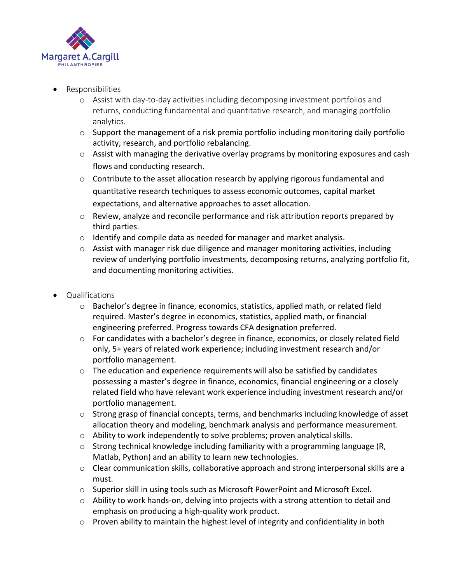

- Responsibilities
	- o Assist with day-to-day activities including decomposing investment portfolios and returns, conducting fundamental and quantitative research, and managing portfolio analytics.
	- $\circ$  Support the management of a risk premia portfolio including monitoring daily portfolio activity, research, and portfolio rebalancing.
	- o Assist with managing the derivative overlay programs by monitoring exposures and cash flows and conducting research.
	- o Contribute to the asset allocation research by applying rigorous fundamental and quantitative research techniques to assess economic outcomes, capital market expectations, and alternative approaches to asset allocation.
	- $\circ$  Review, analyze and reconcile performance and risk attribution reports prepared by third parties.
	- $\circ$  Identify and compile data as needed for manager and market analysis.
	- $\circ$  Assist with manager risk due diligence and manager monitoring activities, including review of underlying portfolio investments, decomposing returns, analyzing portfolio fit, and documenting monitoring activities.
- Qualifications
	- o Bachelor's degree in finance, economics, statistics, applied math, or related field required. Master's degree in economics, statistics, applied math, or financial engineering preferred. Progress towards CFA designation preferred.
	- $\circ$  For candidates with a bachelor's degree in finance, economics, or closely related field only, 5+ years of related work experience; including investment research and/or portfolio management.
	- o The education and experience requirements will also be satisfied by candidates possessing a master's degree in finance, economics, financial engineering or a closely related field who have relevant work experience including investment research and/or portfolio management.
	- o Strong grasp of financial concepts, terms, and benchmarks including knowledge of asset allocation theory and modeling, benchmark analysis and performance measurement.
	- o Ability to work independently to solve problems; proven analytical skills.
	- o Strong technical knowledge including familiarity with a programming language (R, Matlab, Python) and an ability to learn new technologies.
	- o Clear communication skills, collaborative approach and strong interpersonal skills are a must.
	- $\circ$  Superior skill in using tools such as Microsoft PowerPoint and Microsoft Excel.
	- $\circ$  Ability to work hands-on, delving into projects with a strong attention to detail and emphasis on producing a high-quality work product.
	- $\circ$  Proven ability to maintain the highest level of integrity and confidentiality in both